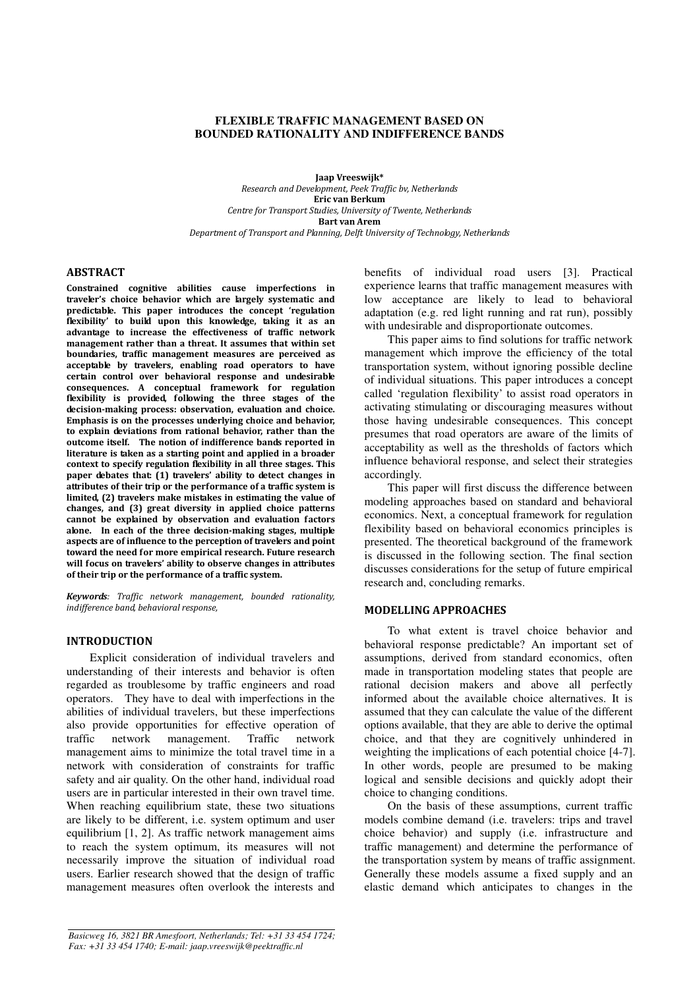## **FLEXIBLE TRAFFIC MANAGEMENT BASED ON BOUNDED RATIONALITY AND INDIFFERENCE BANDS**

Jaap Vreeswijk\* Research and Development, Peek Traffic bv, Netherlands Eric van Berkum Centre for Transport Studies, University of Twente, Netherlands Bart van Arem Department of Transport and Planning, Delft University of Technology, Netherlands

### ABSTRACT

Constrained cognitive abilities cause imperfections in traveler's choice behavior which are largely systematic and predictable. This paper introduces the concept 'regulation flexibility' to build upon this knowledge, taking it as an advantage to increase the effectiveness of traffic network management rather than a threat. It assumes that within set boundaries, traffic management measures are perceived as acceptable by travelers, enabling road operators to have certain control over behavioral response and undesirable consequences. A conceptual framework for regulation flexibility is provided, following the three stages of the decision-making process: observation, evaluation and choice. Emphasis is on the processes underlying choice and behavior, to explain deviations from rational behavior, rather than the outcome itself. The notion of indifference bands reported in literature is taken as a starting point and applied in a broader context to specify regulation flexibility in all three stages. This paper debates that (1) travelers' ability to detect changes in attributes of their trip or the performance of a traffic system is limited, (2) travelers make mistakes in estimating the value of changes, and (3) great diversity in applied choice patterns cannot be explained by observation and evaluation factors alone. In each of the three decision-making stages, multiple aspects are of influence to the perception of travelers and point toward the need for more empirical research. Future research will focus on travelers' ability to observe changes in attributes of their trip or the performance of a traffic system.

Keywords: Traffic network management, bounded rationality, indifference band, behavioral response,

#### INTRODUCTION

Explicit consideration of individual travelers and understanding of their interests and behavior is often regarded as troublesome by traffic engineers and road operators. They have to deal with imperfections in the abilities of individual travelers, but these imperfections also provide opportunities for effective operation of traffic network management. Traffic network management aims to minimize the total travel time in a network with consideration of constraints for traffic safety and air quality. On the other hand, individual road users are in particular interested in their own travel time. When reaching equilibrium state, these two situations are likely to be different, i.e. system optimum and user equilibrium [1, 2]. As traffic network management aims to reach the system optimum, its measures will not necessarily improve the situation of individual road users. Earlier research showed that the design of traffic management measures often overlook the interests and

benefits of individual road users [3]. Practical experience learns that traffic management measures with low acceptance are likely to lead to behavioral adaptation (e.g. red light running and rat run), possibly with undesirable and disproportionate outcomes.

This paper aims to find solutions for traffic network management which improve the efficiency of the total transportation system, without ignoring possible decline of individual situations. This paper introduces a concept called 'regulation flexibility' to assist road operators in activating stimulating or discouraging measures without those having undesirable consequences. This concept presumes that road operators are aware of the limits of acceptability as well as the thresholds of factors which influence behavioral response, and select their strategies accordingly.

This paper will first discuss the difference between modeling approaches based on standard and behavioral economics. Next, a conceptual framework for regulation flexibility based on behavioral economics principles is presented. The theoretical background of the framework is discussed in the following section. The final section discusses considerations for the setup of future empirical research and, concluding remarks.

### MODELLING APPROACHES

To what extent is travel choice behavior and behavioral response predictable? An important set of assumptions, derived from standard economics, often made in transportation modeling states that people are rational decision makers and above all perfectly informed about the available choice alternatives. It is assumed that they can calculate the value of the different options available, that they are able to derive the optimal choice, and that they are cognitively unhindered in weighting the implications of each potential choice [4-7]. In other words, people are presumed to be making logical and sensible decisions and quickly adopt their choice to changing conditions.

On the basis of these assumptions, current traffic models combine demand (i.e. travelers: trips and travel choice behavior) and supply (i.e. infrastructure and traffic management) and determine the performance of the transportation system by means of traffic assignment. Generally these models assume a fixed supply and an elastic demand which anticipates to changes in the

*Basicweg 16, 3821 BR Amesfoort, Netherlands; Tel: +31 33 454 1724; Fax: +31 33 454 1740; E-mail: jaap.vreeswijk@peektraffic.nl*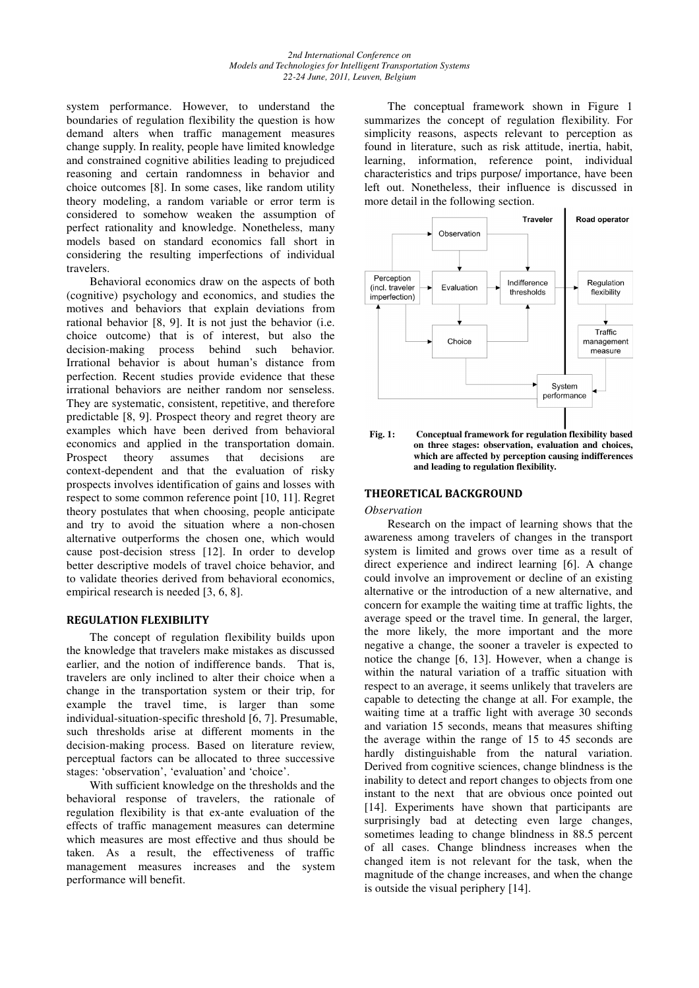system performance. However, to understand the boundaries of regulation flexibility the question is how demand alters when traffic management measures change supply. In reality, people have limited knowledge and constrained cognitive abilities leading to prejudiced reasoning and certain randomness in behavior and choice outcomes [8]. In some cases, like random utility theory modeling, a random variable or error term is considered to somehow weaken the assumption of perfect rationality and knowledge. Nonetheless, many models based on standard economics fall short in considering the resulting imperfections of individual travelers.

Behavioral economics draw on the aspects of both (cognitive) psychology and economics, and studies the motives and behaviors that explain deviations from rational behavior [8, 9]. It is not just the behavior (i.e. choice outcome) that is of interest, but also the decision-making process behind such behavior. Irrational behavior is about human's distance from perfection. Recent studies provide evidence that these irrational behaviors are neither random nor senseless. They are systematic, consistent, repetitive, and therefore predictable [8, 9]. Prospect theory and regret theory are examples which have been derived from behavioral economics and applied in the transportation domain. Prospect theory assumes that decisions are context-dependent and that the evaluation of risky prospects involves identification of gains and losses with respect to some common reference point [10, 11]. Regret theory postulates that when choosing, people anticipate and try to avoid the situation where a non-chosen alternative outperforms the chosen one, which would cause post-decision stress [12]. In order to develop better descriptive models of travel choice behavior, and to validate theories derived from behavioral economics, empirical research is needed [3, 6, 8].

## REGULATION FLEXIBILITY

The concept of regulation flexibility builds upon the knowledge that travelers make mistakes as discussed earlier, and the notion of indifference bands. That is, travelers are only inclined to alter their choice when a change in the transportation system or their trip, for example the travel time, is larger than some individual-situation-specific threshold [6, 7]. Presumable, such thresholds arise at different moments in the decision-making process. Based on literature review, perceptual factors can be allocated to three successive stages: 'observation', 'evaluation' and 'choice'.

With sufficient knowledge on the thresholds and the behavioral response of travelers, the rationale of regulation flexibility is that ex-ante evaluation of the effects of traffic management measures can determine which measures are most effective and thus should be taken. As a result, the effectiveness of traffic management measures increases and the system performance will benefit.

The conceptual framework shown in Figure 1 summarizes the concept of regulation flexibility. For simplicity reasons, aspects relevant to perception as found in literature, such as risk attitude, inertia, habit, learning, information, reference point, individual characteristics and trips purpose/ importance, have been left out. Nonetheless, their influence is discussed in more detail in the following section.



**Fig. 1: Conceptual framework for regulation flexibility based on three stages: observation, evaluation and choices, which are affected by perception causing indifferences and leading to regulation flexibility.** 

## THEORETICAL BACKGROUND

#### *Observation*

Research on the impact of learning shows that the awareness among travelers of changes in the transport system is limited and grows over time as a result of direct experience and indirect learning [6]. A change could involve an improvement or decline of an existing alternative or the introduction of a new alternative, and concern for example the waiting time at traffic lights, the average speed or the travel time. In general, the larger, the more likely, the more important and the more negative a change, the sooner a traveler is expected to notice the change [6, 13]. However, when a change is within the natural variation of a traffic situation with respect to an average, it seems unlikely that travelers are capable to detecting the change at all. For example, the waiting time at a traffic light with average 30 seconds and variation 15 seconds, means that measures shifting the average within the range of 15 to 45 seconds are hardly distinguishable from the natural variation. Derived from cognitive sciences, change blindness is the inability to detect and report changes to objects from one instant to the next that are obvious once pointed out [14]. Experiments have shown that participants are surprisingly bad at detecting even large changes, sometimes leading to change blindness in 88.5 percent of all cases. Change blindness increases when the changed item is not relevant for the task, when the magnitude of the change increases, and when the change is outside the visual periphery [14].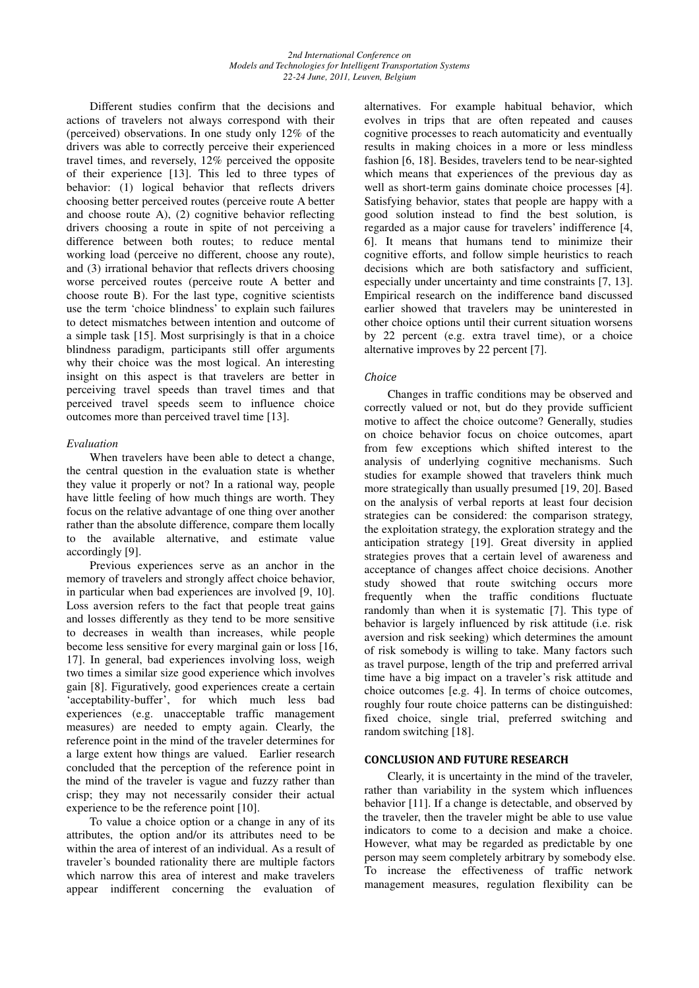Different studies confirm that the decisions and actions of travelers not always correspond with their (perceived) observations. In one study only 12% of the drivers was able to correctly perceive their experienced travel times, and reversely, 12% perceived the opposite of their experience [13]. This led to three types of behavior: (1) logical behavior that reflects drivers choosing better perceived routes (perceive route A better and choose route A), (2) cognitive behavior reflecting drivers choosing a route in spite of not perceiving a difference between both routes; to reduce mental working load (perceive no different, choose any route), and (3) irrational behavior that reflects drivers choosing worse perceived routes (perceive route A better and choose route B). For the last type, cognitive scientists use the term 'choice blindness' to explain such failures to detect mismatches between intention and outcome of a simple task [15]. Most surprisingly is that in a choice blindness paradigm, participants still offer arguments why their choice was the most logical. An interesting insight on this aspect is that travelers are better in perceiving travel speeds than travel times and that perceived travel speeds seem to influence choice outcomes more than perceived travel time [13].

# *Evaluation*

When travelers have been able to detect a change, the central question in the evaluation state is whether they value it properly or not? In a rational way, people have little feeling of how much things are worth. They focus on the relative advantage of one thing over another rather than the absolute difference, compare them locally to the available alternative, and estimate value accordingly [9].

Previous experiences serve as an anchor in the memory of travelers and strongly affect choice behavior, in particular when bad experiences are involved [9, 10]. Loss aversion refers to the fact that people treat gains and losses differently as they tend to be more sensitive to decreases in wealth than increases, while people become less sensitive for every marginal gain or loss [16, 17]. In general, bad experiences involving loss, weigh two times a similar size good experience which involves gain [8]. Figuratively, good experiences create a certain 'acceptability-buffer', for which much less bad experiences (e.g. unacceptable traffic management measures) are needed to empty again. Clearly, the reference point in the mind of the traveler determines for a large extent how things are valued. Earlier research concluded that the perception of the reference point in the mind of the traveler is vague and fuzzy rather than crisp; they may not necessarily consider their actual experience to be the reference point [10].

To value a choice option or a change in any of its attributes, the option and/or its attributes need to be within the area of interest of an individual. As a result of traveler's bounded rationality there are multiple factors which narrow this area of interest and make travelers appear indifferent concerning the evaluation of alternatives. For example habitual behavior, which evolves in trips that are often repeated and causes cognitive processes to reach automaticity and eventually results in making choices in a more or less mindless fashion [6, 18]. Besides, travelers tend to be near-sighted which means that experiences of the previous day as well as short-term gains dominate choice processes [4]. Satisfying behavior, states that people are happy with a good solution instead to find the best solution, is regarded as a major cause for travelers' indifference [4, 6]. It means that humans tend to minimize their cognitive efforts, and follow simple heuristics to reach decisions which are both satisfactory and sufficient, especially under uncertainty and time constraints [7, 13]. Empirical research on the indifference band discussed earlier showed that travelers may be uninterested in other choice options until their current situation worsens by 22 percent (e.g. extra travel time), or a choice alternative improves by 22 percent [7].

# Choice

Changes in traffic conditions may be observed and correctly valued or not, but do they provide sufficient motive to affect the choice outcome? Generally, studies on choice behavior focus on choice outcomes, apart from few exceptions which shifted interest to the analysis of underlying cognitive mechanisms. Such studies for example showed that travelers think much more strategically than usually presumed [19, 20]. Based on the analysis of verbal reports at least four decision strategies can be considered: the comparison strategy, the exploitation strategy, the exploration strategy and the anticipation strategy [19]. Great diversity in applied strategies proves that a certain level of awareness and acceptance of changes affect choice decisions. Another study showed that route switching occurs more frequently when the traffic conditions fluctuate randomly than when it is systematic [7]. This type of behavior is largely influenced by risk attitude (i.e. risk aversion and risk seeking) which determines the amount of risk somebody is willing to take. Many factors such as travel purpose, length of the trip and preferred arrival time have a big impact on a traveler's risk attitude and choice outcomes [e.g. 4]. In terms of choice outcomes, roughly four route choice patterns can be distinguished: fixed choice, single trial, preferred switching and random switching [18].

## CONCLUSION AND FUTURE RESEARCH

Clearly, it is uncertainty in the mind of the traveler, rather than variability in the system which influences behavior [11]. If a change is detectable, and observed by the traveler, then the traveler might be able to use value indicators to come to a decision and make a choice. However, what may be regarded as predictable by one person may seem completely arbitrary by somebody else. To increase the effectiveness of traffic network management measures, regulation flexibility can be